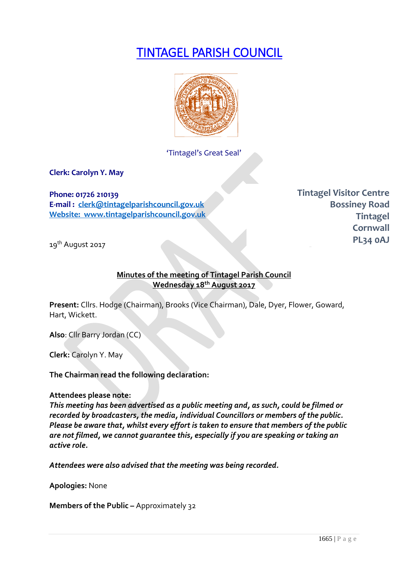# TINTAGEL PARISH COUNCIL



'Tintagel's Great Seal'

**Clerk: Carolyn Y. May**

**Phone: 01726 210139 E-mail : [clerk@tintagelparishcouncil.gov.uk](mailto:clerk@tintagelparishcouncil.gov.uk) Website: www.tintagelparishcouncil.gov.uk** **Tintagel Visitor Centre Bossiney Road Tintagel Cornwall PL34 0AJ**

19<sup>th</sup> August 2017

#### **Minutes of the meeting of Tintagel Parish Council Wednesday 18th August 2017**

**Present:** Cllrs. Hodge (Chairman), Brooks (Vice Chairman), Dale, Dyer, Flower, Goward, Hart, Wickett.

**Also**: Cllr Barry Jordan (CC)

**Clerk:** Carolyn Y. May

**The Chairman read the following declaration:**

#### **Attendees please note:**

*This meeting has been advertised as a public meeting and, as such, could be filmed or recorded by broadcasters, the media, individual Councillors or members of the public. Please be aware that, whilst every effort is taken to ensure that members of the public are not filmed, we cannot guarantee this, especially if you are speaking or taking an active role.*

*Attendees were also advised that the meeting was being recorded.*

**Apologies:** None

**Members of the Public –** Approximately 32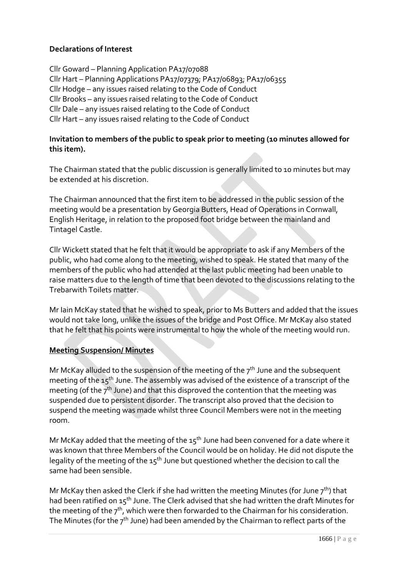# **Declarations of Interest**

Cllr Goward – Planning Application PA17/07088 Cllr Hart – Planning Applications PA17/07379; PA17/06893; PA17/06355 Cllr Hodge – any issues raised relating to the Code of Conduct Cllr Brooks – any issues raised relating to the Code of Conduct Cllr Dale – any issues raised relating to the Code of Conduct Cllr Hart – any issues raised relating to the Code of Conduct

#### **Invitation to members of the public to speak prior to meeting (10 minutes allowed for this item).**

The Chairman stated that the public discussion is generally limited to 10 minutes but may be extended at his discretion.

The Chairman announced that the first item to be addressed in the public session of the meeting would be a presentation by Georgia Butters, Head of Operations in Cornwall, English Heritage, in relation to the proposed foot bridge between the mainland and Tintagel Castle.

Cllr Wickett stated that he felt that it would be appropriate to ask if any Members of the public, who had come along to the meeting, wished to speak. He stated that many of the members of the public who had attended at the last public meeting had been unable to raise matters due to the length of time that been devoted to the discussions relating to the Trebarwith Toilets matter.

Mr Iain McKay stated that he wished to speak, prior to Ms Butters and added that the issues would not take long, unlike the issues of the bridge and Post Office. Mr McKay also stated that he felt that his points were instrumental to how the whole of the meeting would run.

#### **Meeting Suspension/ Minutes**

Mr McKay alluded to the suspension of the meeting of the  $7<sup>th</sup>$  June and the subsequent meeting of the 15th June. The assembly was advised of the existence of a transcript of the meeting (of the  $7<sup>th</sup>$  June) and that this disproved the contention that the meeting was suspended due to persistent disorder. The transcript also proved that the decision to suspend the meeting was made whilst three Council Members were not in the meeting room.

Mr McKay added that the meeting of the  $15<sup>th</sup>$  June had been convened for a date where it was known that three Members of the Council would be on holiday. He did not dispute the legality of the meeting of the  $15<sup>th</sup>$  June but questioned whether the decision to call the same had been sensible.

Mr McKay then asked the Clerk if she had written the meeting Minutes (for June  $7<sup>th</sup>$ ) that had been ratified on 15<sup>th</sup> June. The Clerk advised that she had written the draft Minutes for the meeting of the  $7<sup>th</sup>$ , which were then forwarded to the Chairman for his consideration. The Minutes (for the  $7<sup>th</sup>$  June) had been amended by the Chairman to reflect parts of the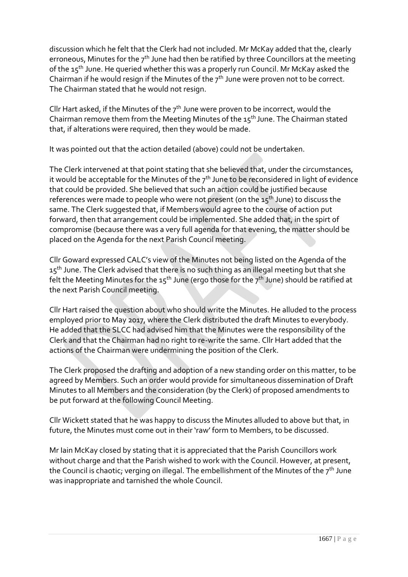discussion which he felt that the Clerk had not included. Mr McKay added that the, clearly erroneous, Minutes for the  $7<sup>th</sup>$  June had then be ratified by three Councillors at the meeting of the  $15<sup>th</sup>$  June. He queried whether this was a properly run Council. Mr McKay asked the Chairman if he would resign if the Minutes of the 7<sup>th</sup> June were proven not to be correct. The Chairman stated that he would not resign.

Cllr Hart asked, if the Minutes of the  $7<sup>th</sup>$  June were proven to be incorrect, would the Chairman remove them from the Meeting Minutes of the  $15<sup>th</sup>$  June. The Chairman stated that, if alterations were required, then they would be made.

It was pointed out that the action detailed (above) could not be undertaken.

The Clerk intervened at that point stating that she believed that, under the circumstances, it would be acceptable for the Minutes of the  $7<sup>th</sup>$  June to be reconsidered in light of evidence that could be provided. She believed that such an action could be justified because references were made to people who were not present (on the  $15<sup>th</sup>$  June) to discuss the same. The Clerk suggested that, if Members would agree to the course of action put forward, then that arrangement could be implemented. She added that, in the spirt of compromise (because there was a very full agenda for that evening, the matter should be placed on the Agenda for the next Parish Council meeting.

Cllr Goward expressed CALC's view of the Minutes not being listed on the Agenda of the  $15<sup>th</sup>$  June. The Clerk advised that there is no such thing as an illegal meeting but that she felt the Meeting Minutes for the  $15<sup>th</sup>$  June (ergo those for the  $7<sup>th</sup>$  June) should be ratified at the next Parish Council meeting.

Cllr Hart raised the question about who should write the Minutes. He alluded to the process employed prior to May 2017, where the Clerk distributed the draft Minutes to everybody. He added that the SLCC had advised him that the Minutes were the responsibility of the Clerk and that the Chairman had no right to re-write the same. Cllr Hart added that the actions of the Chairman were undermining the position of the Clerk.

The Clerk proposed the drafting and adoption of a new standing order on this matter, to be agreed by Members. Such an order would provide for simultaneous dissemination of Draft Minutes to all Members and the consideration (by the Clerk) of proposed amendments to be put forward at the following Council Meeting.

Cllr Wickett stated that he was happy to discuss the Minutes alluded to above but that, in future, the Minutes must come out in their 'raw' form to Members, to be discussed.

Mr Iain McKay closed by stating that it is appreciated that the Parish Councillors work without charge and that the Parish wished to work with the Council. However, at present, the Council is chaotic; verging on illegal. The embellishment of the Minutes of the  $7<sup>th</sup>$  June was inappropriate and tarnished the whole Council.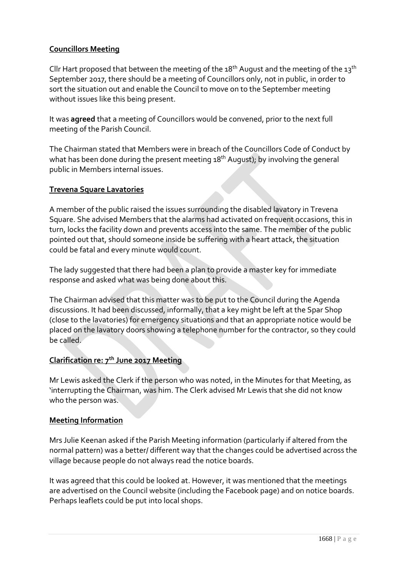# **Councillors Meeting**

Cllr Hart proposed that between the meeting of the 18<sup>th</sup> August and the meeting of the 13<sup>th</sup> September 2017, there should be a meeting of Councillors only, not in public, in order to sort the situation out and enable the Council to move on to the September meeting without issues like this being present.

It was **agreed** that a meeting of Councillors would be convened, prior to the next full meeting of the Parish Council.

The Chairman stated that Members were in breach of the Councillors Code of Conduct by what has been done during the present meeting 18<sup>th</sup> August); by involving the general public in Members internal issues.

#### **Trevena Square Lavatories**

A member of the public raised the issues surrounding the disabled lavatory in Trevena Square. She advised Members that the alarms had activated on frequent occasions, this in turn, locks the facility down and prevents access into the same. The member of the public pointed out that, should someone inside be suffering with a heart attack, the situation could be fatal and every minute would count.

The lady suggested that there had been a plan to provide a master key for immediate response and asked what was being done about this.

The Chairman advised that this matter was to be put to the Council during the Agenda discussions. It had been discussed, informally, that a key might be left at the Spar Shop (close to the lavatories) for emergency situations and that an appropriate notice would be placed on the lavatory doors showing a telephone number for the contractor, so they could be called.

#### **Clarification re: 7th June 2017 Meeting**

Mr Lewis asked the Clerk if the person who was noted, in the Minutes for that Meeting, as 'interrupting the Chairman, was him. The Clerk advised Mr Lewis that she did not know who the person was.

#### **Meeting Information**

Mrs Julie Keenan asked if the Parish Meeting information (particularly if altered from the normal pattern) was a better/ different way that the changes could be advertised across the village because people do not always read the notice boards.

It was agreed that this could be looked at. However, it was mentioned that the meetings are advertised on the Council website (including the Facebook page) and on notice boards. Perhaps leaflets could be put into local shops.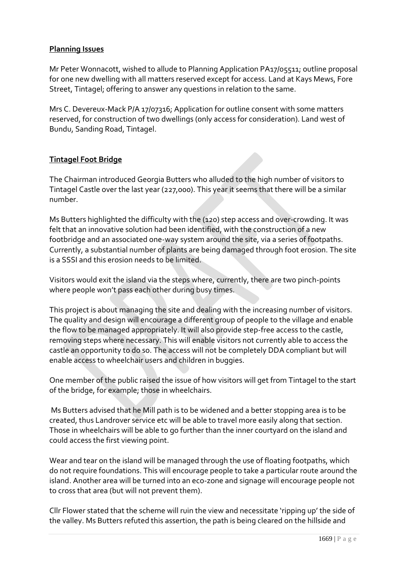## **Planning Issues**

Mr Peter Wonnacott, wished to allude to Planning Application PA17/05511; outline proposal for one new dwelling with all matters reserved except for access. Land at Kays Mews, Fore Street, Tintagel; offering to answer any questions in relation to the same.

Mrs C. Devereux-Mack P/A 17/07316; Application for outline consent with some matters reserved, for construction of two dwellings (only access for consideration). Land west of Bundu, Sanding Road, Tintagel.

# **Tintagel Foot Bridge**

The Chairman introduced Georgia Butters who alluded to the high number of visitors to Tintagel Castle over the last year (227,000). This year it seems that there will be a similar number.

Ms Butters highlighted the difficulty with the (120) step access and over-crowding. It was felt that an innovative solution had been identified, with the construction of a new footbridge and an associated one-way system around the site, via a series of footpaths. Currently, a substantial number of plants are being damaged through foot erosion. The site is a SSSI and this erosion needs to be limited.

Visitors would exit the island via the steps where, currently, there are two pinch-points where people won't pass each other during busy times.

This project is about managing the site and dealing with the increasing number of visitors. The quality and design will encourage a different group of people to the village and enable the flow to be managed appropriately. It will also provide step-free access to the castle, removing steps where necessary. This will enable visitors not currently able to access the castle an opportunity to do so. The access will not be completely DDA compliant but will enable access to wheelchair users and children in buggies.

One member of the public raised the issue of how visitors will get from Tintagel to the start of the bridge, for example; those in wheelchairs.

Ms Butters advised that he Mill path is to be widened and a better stopping area is to be created, thus Landrover service etc will be able to travel more easily along that section. Those in wheelchairs will be able to go further than the inner courtyard on the island and could access the first viewing point.

Wear and tear on the island will be managed through the use of floating footpaths, which do not require foundations. This will encourage people to take a particular route around the island. Another area will be turned into an eco-zone and signage will encourage people not to cross that area (but will not prevent them).

Cllr Flower stated that the scheme will ruin the view and necessitate 'ripping up' the side of the valley. Ms Butters refuted this assertion, the path is being cleared on the hillside and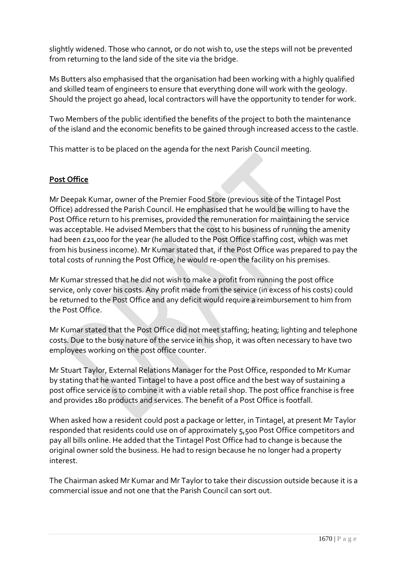slightly widened. Those who cannot, or do not wish to, use the steps will not be prevented from returning to the land side of the site via the bridge.

Ms Butters also emphasised that the organisation had been working with a highly qualified and skilled team of engineers to ensure that everything done will work with the geology. Should the project go ahead, local contractors will have the opportunity to tender for work.

Two Members of the public identified the benefits of the project to both the maintenance of the island and the economic benefits to be gained through increased access to the castle.

This matter is to be placed on the agenda for the next Parish Council meeting.

# **Post Office**

Mr Deepak Kumar, owner of the Premier Food Store (previous site of the Tintagel Post Office) addressed the Parish Council. He emphasised that he would be willing to have the Post Office return to his premises, provided the remuneration for maintaining the service was acceptable. He advised Members that the cost to his business of running the amenity had been £21,000 for the year (he alluded to the Post Office staffing cost, which was met from his business income). Mr Kumar stated that, if the Post Office was prepared to pay the total costs of running the Post Office, he would re-open the facility on his premises.

Mr Kumar stressed that he did not wish to make a profit from running the post office service, only cover his costs. Any profit made from the service (in excess of his costs) could be returned to the Post Office and any deficit would require a reimbursement to him from the Post Office.

Mr Kumar stated that the Post Office did not meet staffing; heating; lighting and telephone costs. Due to the busy nature of the service in his shop, it was often necessary to have two employees working on the post office counter.

Mr Stuart Taylor, External Relations Manager for the Post Office, responded to Mr Kumar by stating that he wanted Tintagel to have a post office and the best way of sustaining a post office service is to combine it with a viable retail shop. The post office franchise is free and provides 180 products and services. The benefit of a Post Office is footfall.

When asked how a resident could post a package or letter, in Tintagel, at present Mr Taylor responded that residents could use on of approximately 5,500 Post Office competitors and pay all bills online. He added that the Tintagel Post Office had to change is because the original owner sold the business. He had to resign because he no longer had a property interest.

The Chairman asked Mr Kumar and Mr Taylor to take their discussion outside because it is a commercial issue and not one that the Parish Council can sort out.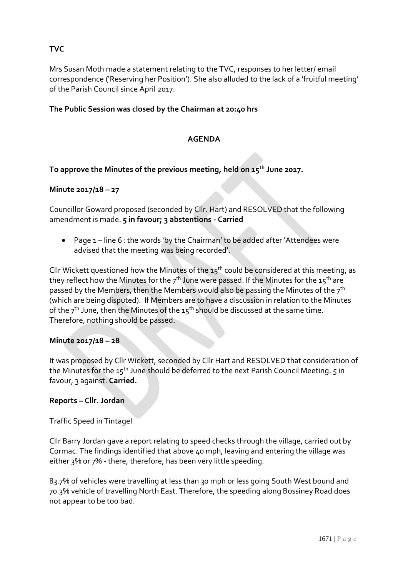# **TVC**

Mrs Susan Moth made a statement relating to the TVC, responses to her letter/ email correspondence ('Reserving her Position'). She also alluded to the lack of a 'fruitful meeting' of the Parish Council since April 2017.

# **The Public Session was closed by the Chairman at 20:40 hrs**

# **AGENDA**

#### **To approve the Minutes of the previous meeting, held on 15th June 2017.**

#### **Minute 2017/18 – 27**

Councillor Goward proposed (seconded by Cllr. Hart) and RESOLVED that the following amendment is made. **5 in favour; 3 abstentions - Carried**

• Page 1 – line 6 : the words 'by the Chairman' to be added after 'Attendees were advised that the meeting was being recorded'.

Cllr Wickett questioned how the Minutes of the  $15<sup>th</sup>$  could be considered at this meeting, as they reflect how the Minutes for the  $7<sup>th</sup>$  June were passed. If the Minutes for the  $15<sup>th</sup>$  are passed by the Members, then the Members would also be passing the Minutes of the 7<sup>th</sup> (which are being disputed). If Members are to have a discussion in relation to the Minutes of the  $7<sup>th</sup>$  June, then the Minutes of the  $15<sup>th</sup>$  should be discussed at the same time. Therefore, nothing should be passed.

#### **Minute 2017/18 – 28**

It was proposed by Cllr Wickett, seconded by Cllr Hart and RESOLVED that consideration of the Minutes for the 15<sup>th</sup> June should be deferred to the next Parish Council Meeting. 5 in favour, 3 against. **Carried.**

#### **Reports – Cllr. Jordan**

#### Traffic Speed in Tintagel

Cllr Barry Jordan gave a report relating to speed checks through the village, carried out by Cormac. The findings identified that above 40 mph, leaving and entering the village was either 3% or 7% - there, therefore, has been very little speeding.

83.7% of vehicles were travelling at less than 30 mph or less going South West bound and 70.3% vehicle of travelling North East. Therefore, the speeding along Bossiney Road does not appear to be too bad.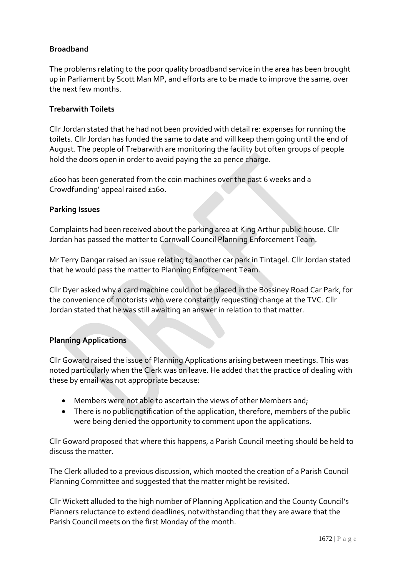# **Broadband**

The problems relating to the poor quality broadband service in the area has been brought up in Parliament by Scott Man MP, and efforts are to be made to improve the same, over the next few months.

#### **Trebarwith Toilets**

Cllr Jordan stated that he had not been provided with detail re: expenses for running the toilets. Cllr Jordan has funded the same to date and will keep them going until the end of August. The people of Trebarwith are monitoring the facility but often groups of people hold the doors open in order to avoid paying the 20 pence charge.

£600 has been generated from the coin machines over the past 6 weeks and a Crowdfunding' appeal raised £160.

#### **Parking Issues**

Complaints had been received about the parking area at King Arthur public house. Cllr Jordan has passed the matter to Cornwall Council Planning Enforcement Team.

Mr Terry Dangar raised an issue relating to another car park in Tintagel. Cllr Jordan stated that he would pass the matter to Planning Enforcement Team.

Cllr Dyer asked why a card machine could not be placed in the Bossiney Road Car Park, for the convenience of motorists who were constantly requesting change at the TVC. Cllr Jordan stated that he was still awaiting an answer in relation to that matter.

#### **Planning Applications**

Cllr Goward raised the issue of Planning Applications arising between meetings. This was noted particularly when the Clerk was on leave. He added that the practice of dealing with these by email was not appropriate because:

- Members were not able to ascertain the views of other Members and;
- There is no public notification of the application, therefore, members of the public were being denied the opportunity to comment upon the applications.

Cllr Goward proposed that where this happens, a Parish Council meeting should be held to discuss the matter.

The Clerk alluded to a previous discussion, which mooted the creation of a Parish Council Planning Committee and suggested that the matter might be revisited.

Cllr Wickett alluded to the high number of Planning Application and the County Council's Planners reluctance to extend deadlines, notwithstanding that they are aware that the Parish Council meets on the first Monday of the month.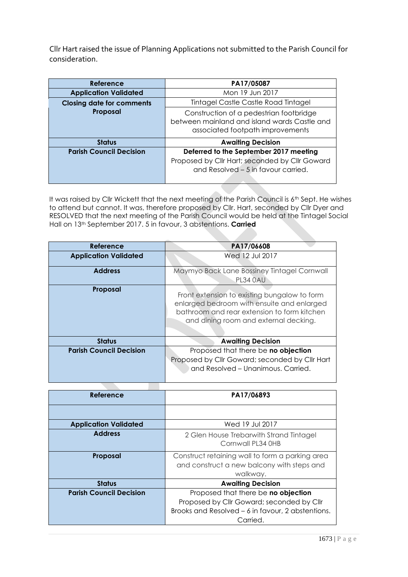Cllr Hart raised the issue of Planning Applications not submitted to the Parish Council for consideration.

| Reference                        | PA17/05087                                                                                                                      |
|----------------------------------|---------------------------------------------------------------------------------------------------------------------------------|
| <b>Application Validated</b>     | Mon 19 Jun 2017                                                                                                                 |
| <b>Closing date for comments</b> | Tintagel Castle Castle Road Tintagel                                                                                            |
| Proposal                         | Construction of a pedestrian footbridge<br>between mainland and island wards Castle and<br>associated footpath improvements     |
| <b>Status</b>                    | <b>Awaiting Decision</b>                                                                                                        |
| <b>Parish Council Decision</b>   | Deferred to the September 2017 meeting<br>Proposed by Cllr Hart; seconded by Cllr Goward<br>and Resolved - 5 in favour carried. |

It was raised by Cllr Wickett that the next meeting of the Parish Council is 6<sup>th</sup> Sept. He wishes to attend but cannot. It was, therefore proposed by Cllr. Hart, seconded by Cllr Dyer and RESOLVED that the next meeting of the Parish Council would be held at the Tintagel Social Hall on 13th September 2017. 5 in favour, 3 abstentions. **Carried**

| Reference                      | PA17/06608                                                                                                                                                                         |
|--------------------------------|------------------------------------------------------------------------------------------------------------------------------------------------------------------------------------|
| <b>Application Validated</b>   | Wed 12 Jul 2017                                                                                                                                                                    |
| <b>Address</b>                 | Maymyo Back Lane Bossiney Tintagel Cornwall<br>PL34 0AU                                                                                                                            |
| Proposal                       | Front extension to existing bungalow to form<br>enlarged bedroom with ensuite and enlarged<br>bathroom and rear extension to form kitchen<br>and dining room and external decking. |
| <b>Status</b>                  | <b>Awaiting Decision</b>                                                                                                                                                           |
| <b>Parish Council Decision</b> | Proposed that there be no objection<br>Proposed by Cllr Goward; seconded by Cllr Hart<br>and Resolved - Unanimous. Carried.                                                        |

| Reference                      | PA17/06893                                                                                                                                        |
|--------------------------------|---------------------------------------------------------------------------------------------------------------------------------------------------|
|                                |                                                                                                                                                   |
| <b>Application Validated</b>   | Wed 19 Jul 2017                                                                                                                                   |
| <b>Address</b>                 | 2 Glen House Trebarwith Strand Tintagel<br>Cornwall PL34 0HB                                                                                      |
| Proposal                       | Construct retaining wall to form a parking area<br>and construct a new balcony with steps and<br>walkway.                                         |
| <b>Status</b>                  | <b>Awaiting Decision</b>                                                                                                                          |
| <b>Parish Council Decision</b> | Proposed that there be no objection<br>Proposed by Cllr Goward; seconded by Cllr<br>Brooks and Resolved – 6 in favour, 2 abstentions.<br>Carried. |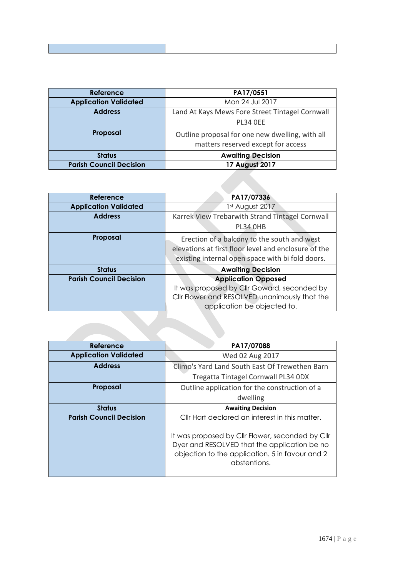| <b>Reference</b>               | PA17/0551                                                                             |
|--------------------------------|---------------------------------------------------------------------------------------|
| <b>Application Validated</b>   | Mon 24 Jul 2017                                                                       |
| <b>Address</b>                 | Land At Kays Mews Fore Street Tintagel Cornwall                                       |
|                                | <b>PL34 OEE</b>                                                                       |
| Proposal                       | Outline proposal for one new dwelling, with all<br>matters reserved except for access |
| <b>Status</b>                  | <b>Awaiting Decision</b>                                                              |
| <b>Parish Council Decision</b> | <b>17 August 2017</b>                                                                 |

| <b>Reference</b>               | PA17/07336                                                                                                                                              |
|--------------------------------|---------------------------------------------------------------------------------------------------------------------------------------------------------|
| <b>Application Validated</b>   | 1st August 2017                                                                                                                                         |
| <b>Address</b>                 | Karrek View Trebarwith Strand Tintagel Cornwall                                                                                                         |
|                                | PL34 OHB                                                                                                                                                |
| Proposal                       | Erection of a balcony to the south and west<br>elevations at first floor level and enclosure of the<br>existing internal open space with bi fold doors. |
| <b>Status</b>                  | <b>Awaiting Decision</b>                                                                                                                                |
| <b>Parish Council Decision</b> | <b>Application Opposed</b>                                                                                                                              |
|                                | It was proposed by Cllr Goward, seconded by                                                                                                             |
|                                | Cllr Flower and RESOLVED unanimously that the                                                                                                           |
|                                | application be objected to.                                                                                                                             |

| Reference                      | PA17/07088                                                                                                                                                          |
|--------------------------------|---------------------------------------------------------------------------------------------------------------------------------------------------------------------|
| <b>Application Validated</b>   | Wed 02 Aug 2017                                                                                                                                                     |
| <b>Address</b>                 | Climo's Yard Land South East Of Trewethen Barn                                                                                                                      |
|                                | Tregatta Tintagel Cornwall PL34 ODX                                                                                                                                 |
| Proposal                       | Outline application for the construction of a                                                                                                                       |
|                                | dwelling                                                                                                                                                            |
| <b>Status</b>                  | <b>Awaiting Decision</b>                                                                                                                                            |
| <b>Parish Council Decision</b> | Cllr Hart declared an interest in this matter.                                                                                                                      |
|                                | It was proposed by Cllr Flower, seconded by Cllr<br>Dyer and RESOLVED that the application be no<br>objection to the application. 5 in favour and 2<br>abstentions. |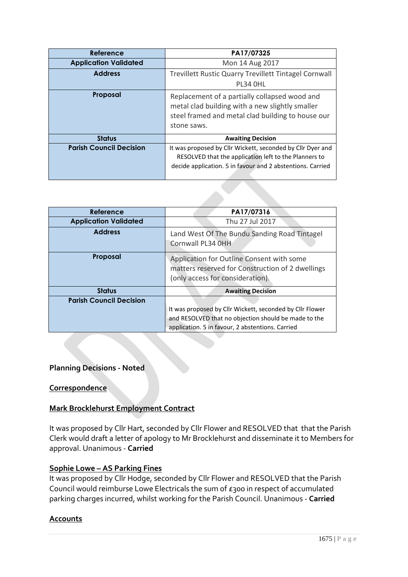| Reference                      | PA17/07325                                                                                                                                                                        |
|--------------------------------|-----------------------------------------------------------------------------------------------------------------------------------------------------------------------------------|
| <b>Application Validated</b>   | Mon 14 Aug 2017                                                                                                                                                                   |
| <b>Address</b>                 | Trevillett Rustic Quarry Trevillett Tintagel Cornwall<br>PL34 OHL                                                                                                                 |
| Proposal                       | Replacement of a partially collapsed wood and<br>metal clad building with a new slightly smaller<br>steel framed and metal clad building to house our<br>stone saws.              |
| <b>Status</b>                  | <b>Awaiting Decision</b>                                                                                                                                                          |
| <b>Parish Council Decision</b> | It was proposed by Cllr Wickett, seconded by Cllr Dyer and<br>RESOLVED that the application left to the Planners to<br>decide application. 5 in favour and 2 abstentions. Carried |

| Reference                      | PA17/07316                                                                                                                                                           |
|--------------------------------|----------------------------------------------------------------------------------------------------------------------------------------------------------------------|
| <b>Application Validated</b>   | Thu 27 Jul 2017                                                                                                                                                      |
| <b>Address</b>                 | Land West Of The Bundu Sanding Road Tintagel<br>Cornwall PL34 OHH                                                                                                    |
| Proposal                       | Application for Outline Consent with some<br>matters reserved for Construction of 2 dwellings<br>(only access for consideration).                                    |
| <b>Status</b>                  | <b>Awaiting Decision</b>                                                                                                                                             |
| <b>Parish Council Decision</b> | It was proposed by Cllr Wickett, seconded by Cllr Flower<br>and RESOLVED that no objection should be made to the<br>application. 5 in favour, 2 abstentions. Carried |

#### **Planning Decisions - Noted**

#### **Correspondence**

#### **Mark Brocklehurst Employment Contract**

It was proposed by Cllr Hart, seconded by Cllr Flower and RESOLVED that that the Parish Clerk would draft a letter of apology to Mr Brocklehurst and disseminate it to Members for approval. Unanimous - **Carried**

#### **Sophie Lowe – AS Parking Fines**

It was proposed by Cllr Hodge, seconded by Cllr Flower and RESOLVED that the Parish Council would reimburse Lowe Electricals the sum of £300 in respect of accumulated parking charges incurred, whilst working for the Parish Council. Unanimous - **Carried**

#### **Accounts**